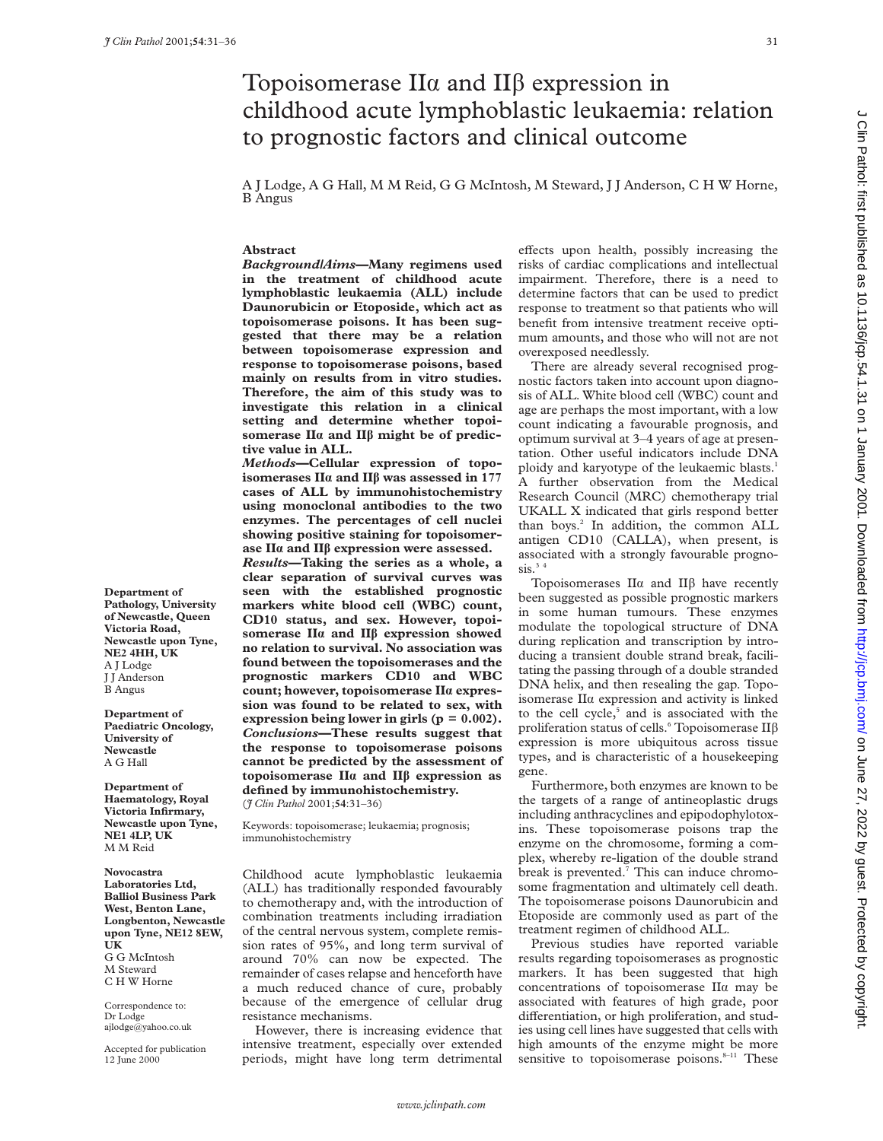# Topoisomerase  $II\alpha$  and  $II\beta$  expression in childhood acute lymphoblastic leukaemia: relation to prognostic factors and clinical outcome

A J Lodge, A G Hall, M M Reid, G G McIntosh, M Steward, J J Anderson, C H W Horne, B Angus

# **Abstract**

*Background/Aims***—Many regimens used in the treatment of childhood acute lymphoblastic leukaemia (ALL) include Daunorubicin or Etoposide, which act as topoisomerase poisons. It has been suggested that there may be a relation between topoisomerase expression and response to topoisomerase poisons, based mainly on results from in vitro studies. Therefore, the aim of this study was to investigate this relation in a clinical setting and determine whether topoisomerase IIá and IIâ might be of predictive value in ALL.**

*Methods***—Cellular expression of topoisomerases IIá and IIâ was assessed in 177 cases of ALL by immunohistochemistry using monoclonal antibodies to the two enzymes. The percentages of cell nuclei showing positive staining for topoisomerase IIá and IIâ expression were assessed.**

*Results***—Taking the series as a whole, a clear separation of survival curves was seen with the established prognostic markers white blood cell (WBC) count, CD10 status, and sex. However, topoisomerase IIá and IIâ expression showed no relation to survival. No association was found between the topoisomerases and the prognostic markers CD10 and WBC count; however, topoisomerase IIá expression was found to be related to sex, with expression being lower in girls (p = 0.002).** *Conclusions***—These results suggest that the response to topoisomerase poisons cannot be predicted by the assessment of topoisomerase IIá and IIâ expression as defined by immunohistochemistry.** (*J Clin Pathol* 2001;**54**:31–36)

Keywords: topoisomerase; leukaemia; prognosis; immunohistochemistry

Childhood acute lymphoblastic leukaemia (ALL) has traditionally responded favourably to chemotherapy and, with the introduction of combination treatments including irradiation of the central nervous system, complete remission rates of 95%, and long term survival of around 70% can now be expected. The remainder of cases relapse and henceforth have a much reduced chance of cure, probably because of the emergence of cellular drug resistance mechanisms.

However, there is increasing evidence that intensive treatment, especially over extended periods, might have long term detrimental effects upon health, possibly increasing the risks of cardiac complications and intellectual impairment. Therefore, there is a need to determine factors that can be used to predict response to treatment so that patients who will benefit from intensive treatment receive optimum amounts, and those who will not are not overexposed needlessly.

There are already several recognised prognostic factors taken into account upon diagnosis of ALL. White blood cell (WBC) count and age are perhaps the most important, with a low count indicating a favourable prognosis, and optimum survival at 3–4 years of age at presentation. Other useful indicators include DNA ploidy and karyotype of the leukaemic blasts.<sup>1</sup> A further observation from the Medical Research Council (MRC) chemotherapy trial UKALL X indicated that girls respond better than boys.<sup>2</sup> In addition, the common ALL antigen CD10 (CALLA), when present, is associated with a strongly favourable progno $sis.^34$ 

Topoisomerases II $\alpha$  and II $\beta$  have recently been suggested as possible prognostic markers in some human tumours. These enzymes modulate the topological structure of DNA during replication and transcription by introducing a transient double strand break, facilitating the passing through of a double stranded DNA helix, and then resealing the gap. Topoisomerase IIá expression and activity is linked to the cell cycle,<sup>5</sup> and is associated with the proliferation status of cells.<sup>6</sup> Topoisomerase II $\beta$ expression is more ubiquitous across tissue types, and is characteristic of a housekeeping gene.

Furthermore, both enzymes are known to be the targets of a range of antineoplastic drugs including anthracyclines and epipodophylotoxins. These topoisomerase poisons trap the enzyme on the chromosome, forming a complex, whereby re-ligation of the double strand break is prevented. $7$  This can induce chromosome fragmentation and ultimately cell death. The topoisomerase poisons Daunorubicin and Etoposide are commonly used as part of the treatment regimen of childhood ALL.

Previous studies have reported variable results regarding topoisomerases as prognostic markers. It has been suggested that high concentrations of topoisomerase IIá may be associated with features of high grade, poor differentiation, or high proliferation, and studies using cell lines have suggested that cells with high amounts of the enzyme might be more sensitive to topoisomerase poisons.<sup>8-11</sup> These

**Department of Pathology, University of Newcastle, Queen Victoria Road, Newcastle upon Tyne, NE2 4HH, UK** A J Lodge J J Anderson B Angus

**Department of Paediatric Oncology, University of Newcastle** A G Hall

**Department of Haematology, Royal Victoria Infirmary, Newcastle upon Tyne, NE1 4LP, UK** M M Reid

**Novocastra Laboratories Ltd, Balliol Business Park West, Benton Lane, Longbenton, Newcastle upon Tyne, NE12 8EW, UK** G G McIntosh M Steward C H W Horne

Correspondence to: Dr Lodge ajlodge@yahoo.co.uk

Accepted for publication 12 June 2000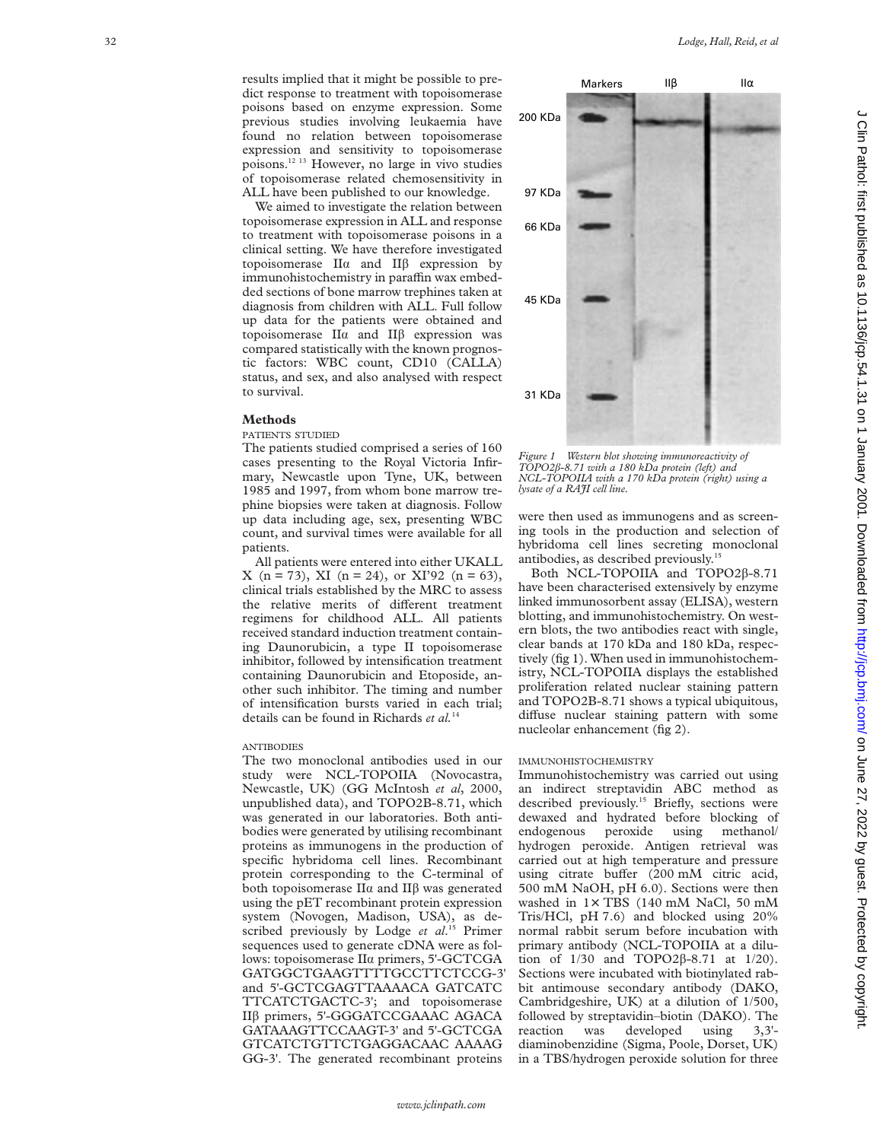results implied that it might be possible to predict response to treatment with topoisomerase poisons based on enzyme expression. Some previous studies involving leukaemia have found no relation between topoisomerase expression and sensitivity to topoisomerase poisons.12 13 However, no large in vivo studies of topoisomerase related chemosensitivity in ALL have been published to our knowledge.

We aimed to investigate the relation between topoisomerase expression in ALL and response to treatment with topoisomerase poisons in a clinical setting. We have therefore investigated topoisomerase  $II\alpha$  and  $II\beta$  expression by immunohistochemistry in paraffin wax embedded sections of bone marrow trephines taken at diagnosis from children with ALL. Full follow up data for the patients were obtained and topoisomerase  $II\alpha$  and  $II\beta$  expression was compared statistically with the known prognostic factors: WBC count, CD10 (CALLA) status, and sex, and also analysed with respect to survival.

#### **Methods**

# PATIENTS STUDIED

The patients studied comprised a series of 160 cases presenting to the Royal Victoria Infirmary, Newcastle upon Tyne, UK, between 1985 and 1997, from whom bone marrow trephine biopsies were taken at diagnosis. Follow up data including age, sex, presenting WBC count, and survival times were available for all patients.

All patients were entered into either UKALL X (n = 73), XI (n = 24), or XI'92 (n = 63), clinical trials established by the MRC to assess the relative merits of different treatment regimens for childhood ALL. All patients received standard induction treatment containing Daunorubicin, a type II topoisomerase inhibitor, followed by intensification treatment containing Daunorubicin and Etoposide, another such inhibitor. The timing and number of intensification bursts varied in each trial; details can be found in Richards *et al.*<sup>14</sup>

# **ANTIBODIES**

The two monoclonal antibodies used in our study were NCL-TOPOIIA (Novocastra, Newcastle, UK) (GG McIntosh *et al*, 2000, unpublished data), and TOPO2B-8.71, which was generated in our laboratories. Both antibodies were generated by utilising recombinant proteins as immunogens in the production of specific hybridoma cell lines. Recombinant protein corresponding to the C-terminal of both topoisomerase  $II\alpha$  and  $II\beta$  was generated using the pET recombinant protein expression system (Novogen, Madison, USA), as described previously by Lodge *et al*. <sup>15</sup> Primer sequences used to generate cDNA were as follows: topoisomerase IIá primers, 5'-GCTCGA GATGGCTGAAGTTTTGCCTTCTCCG-3' and 5'-GCTCGAGTTAAAACA GATCATC TTCATCTGACTC-3'; and topoisomerase II â primers, 5'-GGGATCCGAAAC AGACA GATAAAGTTCCAAGT-3' and 5'-GCTCGA GTCATCTGTTCTGAGGACAAC AAAAG GG-3'. The generated recombinant proteins



*Figure 1 Western blot showing immunoreactivity of TOPO2*â*-8.71 with a 180 kDa protein (left) and NCL-TOPOIIA with a 170 kDa protein (right) using a lysate of a RAJI cell line.*

were then used as immunogens and as screening tools in the production and selection of hybridoma cell lines secreting monoclonal antibodies, as described previously.15

Both NCL-TOPOIIA and TOPO2 â-8.71 have been characterised extensively by enzyme linked immunosorbent assay (ELISA), western blotting, and immunohistochemistry. On western blots, the two antibodies react with single, clear bands at 170 kDa and 180 kDa, respectively (fig 1). When used in immunohistochemistry, NCL-TOPOIIA displays the established proliferation related nuclear staining pattern and TOPO2B-8.71 shows a typical ubiquitous, diffuse nuclear staining pattern with some nucleolar enhancement (fig 2).

# IMMUNOHISTOCHEMISTRY

Immunohistochemistry was carried out using an indirect streptavidin ABC method as described previously.<sup>15</sup> Briefly, sections were dewaxed and hydrated before blocking of endogenous peroxide using methanol/ hydrogen peroxide. Antigen retrieval was carried out at high temperature and pressure using citrate buffer (200 mM citric acid, 500 mM NaOH, pH 6.0). Sections were then washed in 1 × TBS (140 mM NaCl, 50 mM Tris/HCl, pH 7.6) and blocked using 20% normal rabbit serum before incubation with primary antibody (NCL-TOPOIIA at a dilution of  $1/30$  and TOPO2 $\beta$ -8.71 at  $1/20$ ). Sections were incubated with biotinylated rabbit antimouse secondary antibody (DAKO, Cambridgeshire, UK) at a dilution of 1/500, followed by streptavidin–biotin (DAKO). The reaction was developed using 3,3' diaminobenzidine (Sigma, Poole, Dorset, UK) in a TBS/hydrogen peroxide solution for three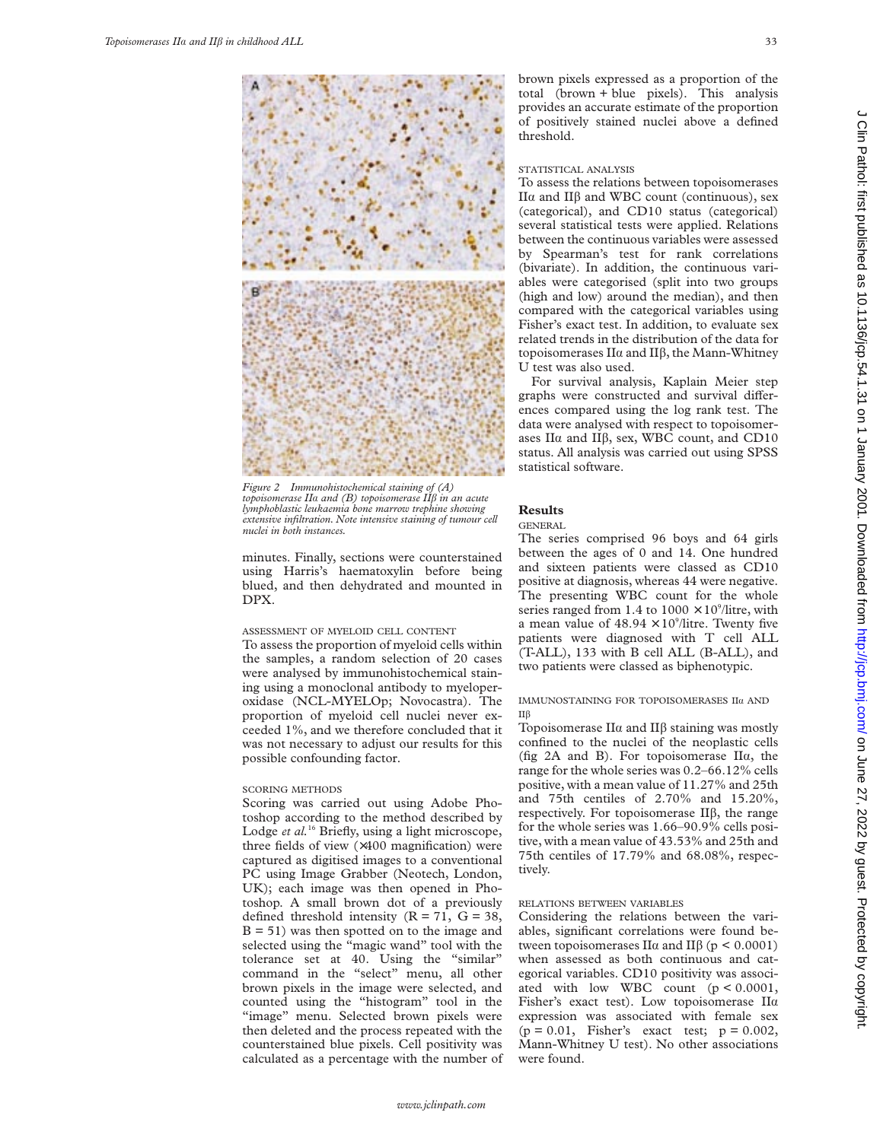

*Figure 2 Immunohistochemical staining of (A) topoisomerase II*á *and (B) topoisomerase II*â *in an acute lymphoblastic leukaemia bone marrow trephine showing extensive infiltration. Note intensive staining of tumour cell nuclei in both instances.*

minutes. Finally, sections were counterstained using Harris's haematoxylin before being blued, and then dehydrated and mounted in DPX.

#### ASSESSMENT OF MYELOID CELL CONTENT

To assess the proportion of myeloid cells within the samples, a random selection of 20 cases were analysed by immunohistochemical staining using a monoclonal antibody to myeloperoxidase (NCL-MYELOp; Novocastra). The proportion of myeloid cell nuclei never exceeded 1%, and we therefore concluded that it was not necessary to adjust our results for this possible confounding factor.

#### SCORING METHODS

Scoring was carried out using Adobe Photoshop according to the method described by Lodge *et al.*<sup>16</sup> Briefly, using a light microscope, three fields of view (×400 magnification) were captured as digitised images to a conventional PC using Image Grabber (Neotech, London, UK); each image was then opened in Photoshop. A small brown dot of a previously defined threshold intensity  $(R = 71, G = 38,$  $B = 51$ ) was then spotted on to the image and selected using the "magic wand" tool with the tolerance set at 40. Using the "similar" command in the "select" menu, all other brown pixels in the image were selected, and counted using the "histogram" tool in the "image" menu. Selected brown pixels were then deleted and the process repeated with the counterstained blue pixels. Cell positivity was calculated as a percentage with the number of brown pixels expressed as a proportion of the total (brown + blue pixels). This analysis provides an accurate estimate of the proportion of positively stained nuclei above a defined threshold.

## STATISTICAL ANALYSIS

To assess the relations between topoisomerases II $α$  and II $β$  and WBC count (continuous), sex (categorical), and CD10 status (categorical) several statistical tests were applied. Relations between the continuous variables were assessed by Spearman's test for rank correlations (bivariate). In addition, the continuous variables were categorised (split into two groups (high and low) around the median), and then compared with the categorical variables using Fisher's exact test. In addition, to evaluate sex related trends in the distribution of the data for topoisomerases  $II\alpha$  and  $II\beta$ , the Mann-Whitney U test was also used.

For survival analysis, Kaplain Meier step graphs were constructed and survival differences compared using the log rank test. The data were analysed with respect to topoisomerases II $\alpha$  and II $\beta$ , sex, WBC count, and CD10 status. All analysis was carried out using SPSS statistical software.

#### **Results**

#### GENERAL

The series comprised 96 boys and 64 girls between the ages of 0 and 14. One hundred and sixteen patients were classed as CD10 positive at diagnosis, whereas 44 were negative. The presenting WBC count for the whole series ranged from 1.4 to  $1000 \times 10^9$ /litre, with a mean value of  $48.94 \times 10^9$ /litre. Twenty five patients were diagnosed with T cell ALL (T-ALL), 133 with B cell ALL (B-ALL), and two patients were classed as biphenotypic.

## IMMUNOSTAINING FOR TOPOISOMERASES IIá AND IIâ

Topoisomerase II $\alpha$  and II $\beta$  staining was mostly confined to the nuclei of the neoplastic cells (fig 2A and B). For topoisomerase  $II\alpha$ , the range for the whole series was 0.2–66.12% cells positive, with a mean value of 11.27% and 25th and 75th centiles of 2.70% and 15.20%, respectively. For topoisomerase  $II\beta$ , the range for the whole series was 1.66–90.9% cells positive, with a mean value of 43.53% and 25th and 75th centiles of 17.79% and 68.08%, respectively.

# RELATIONS BETWEEN VARIABLES

Considering the relations between the variables, significant correlations were found between topoisomerases II $\alpha$  and II $\beta$  (p < 0.0001) when assessed as both continuous and categorical variables. CD10 positivity was associated with low WBC count (p < 0.0001, Fisher's exact test). Low topoisomerase IIá expression was associated with female sex  $(p = 0.01,$  Fisher's exact test;  $p = 0.002$ , Mann-Whitney U test). No other associations were found.

*www.jclinpath.com*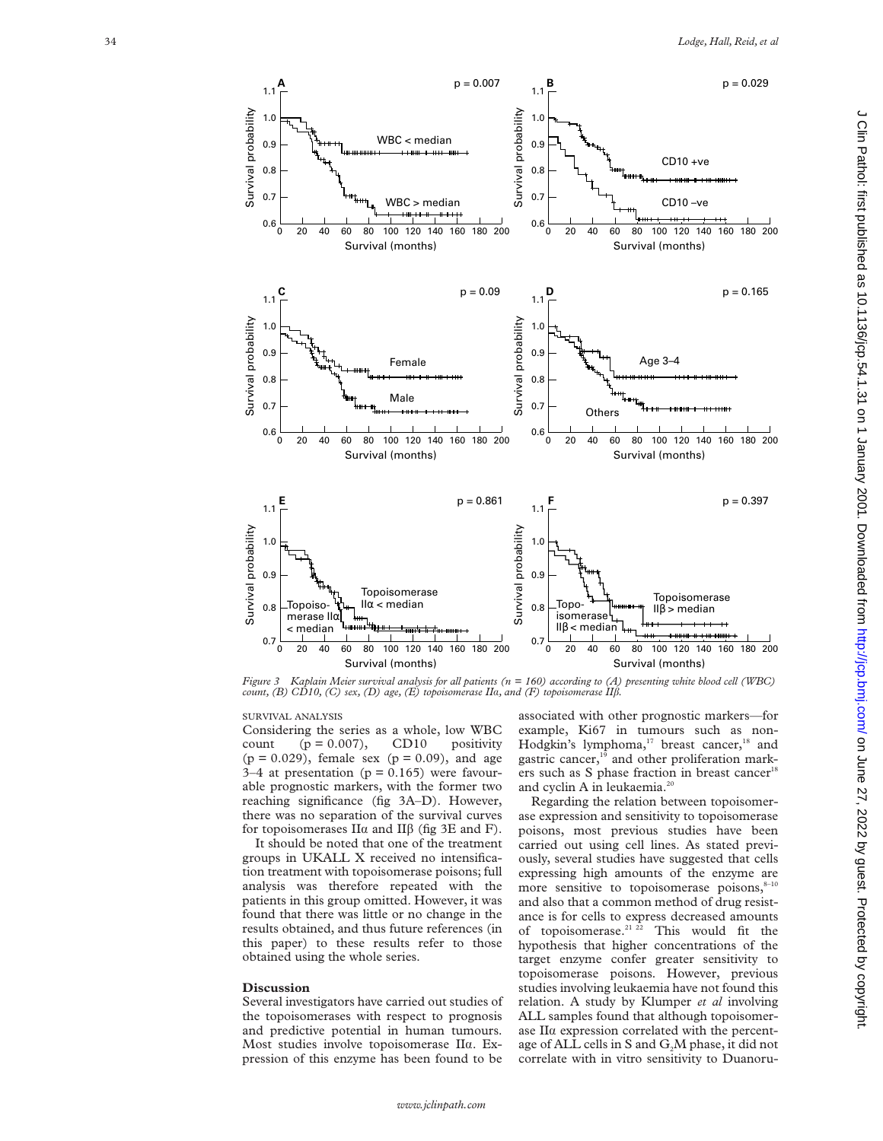

*Figure 3 Kaplain Meier survival analysis for all patients (n = 160) according to (A) presenting white blood cell (WBC) count, (B) CD10, (C) sex, (D) age, (E) topoisomerase II*á*, and (F) topoisomerase II*â *.*

SURVIVAL ANALYSIS

Considering the series as a whole, low WBC count  $(p = 0.007)$ , CD10 positivity  $(p = 0.029)$ , female sex  $(p = 0.09)$ , and age 3–4 at presentation ( $p = 0.165$ ) were favourable prognostic markers, with the former two reaching significance (fig 3A–D). However, there was no separation of the survival curves for topoisomerases  $\Pi\alpha$  and  $\Pi\beta$  (fig 3E and F).

It should be noted that one of the treatment groups in UKALL X received no intensification treatment with topoisomerase poisons; full analysis was therefore repeated with the patients in this group omitted. However, it was found that there was little or no change in the results obtained, and thus future references (in this paper) to these results refer to those obtained using the whole series.

#### **Discussion**

Several investigators have carried out studies of the topoisomerases with respect to prognosis and predictive potential in human tumours. Most studies involve topoisomerase IIa. Expression of this enzyme has been found to be

associated with other prognostic markers—for example, Ki67 in tumours such as non-Hodgkin's lymphoma,<sup>17</sup> breast cancer,<sup>18</sup> and gastric cancer,<sup>16</sup> and other proliferation markers such as S phase fraction in breast cancer<sup>18</sup> and cyclin A in leukaemia.<sup>20</sup>

Regarding the relation between topoisomerase expression and sensitivity to topoisomerase poisons, most previous studies have been carried out using cell lines. As stated previously, several studies have suggested that cells expressing high amounts of the enzyme are more sensitive to topoisomerase poisons, $8-10$ and also that a common method of drug resistance is for cells to express decreased amounts of topoisomerase.<sup>21 22</sup> This would fit the hypothesis that higher concentrations of the target enzyme confer greater sensitivity to topoisomerase poisons. However, previous studies involving leukaemia have not found this relation. A study by Klumper *et al* involving ALL samples found that although topoisomerase IIá expression correlated with the percentage of ALL cells in S and  $G_2M$  phase, it did not correlate with in vitro sensitivity to Duanoru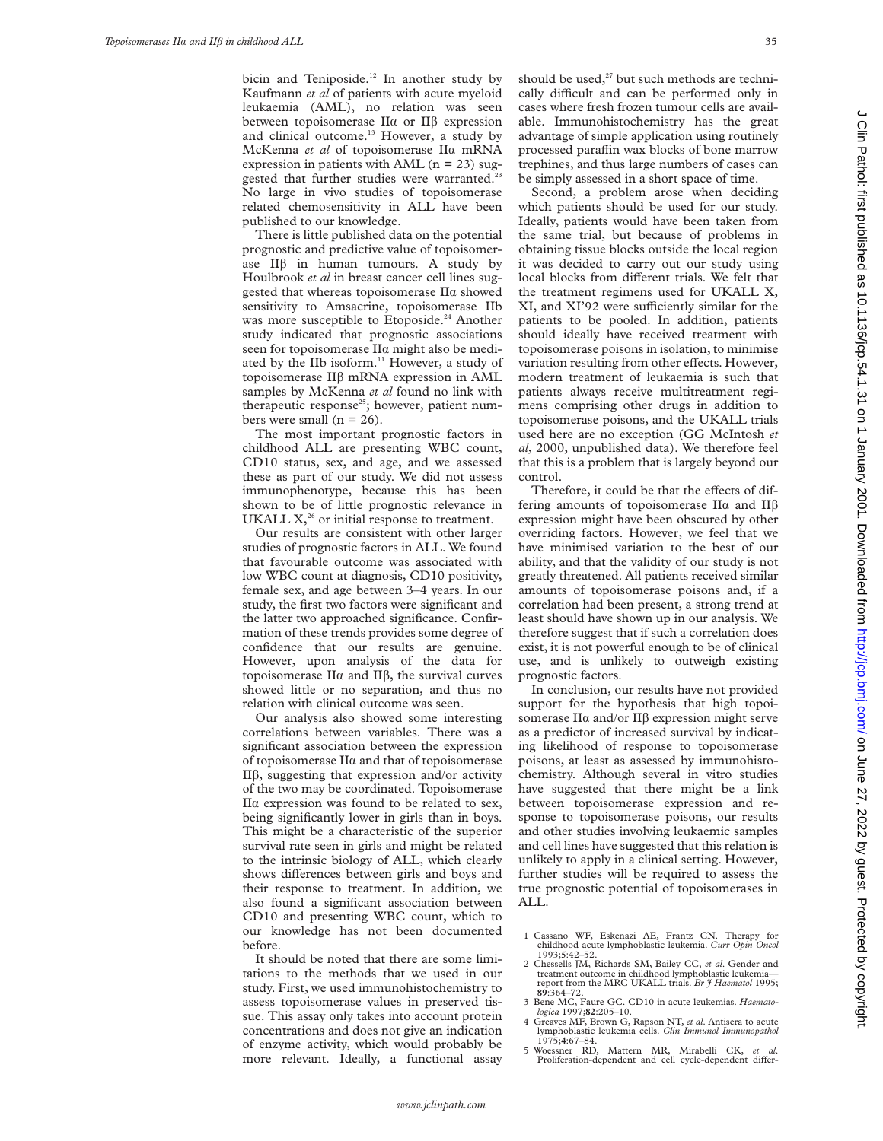bicin and Teniposide.<sup>12</sup> In another study by Kaufmann *et al* of patients with acute myeloid leukaemia (AML), no relation was seen between topoisomerase  $II\alpha$  or  $II\beta$  expression and clinical outcome.<sup>13</sup> However, a study by McKenna *et al* of topoisomerase IIá mRNA expression in patients with AML  $(n = 23)$  suggested that further studies were warranted.<sup>23</sup> No large in vivo studies of topoisomerase related chemosensitivity in ALL have been published to our knowledge.

There is little published data on the potential prognostic and predictive value of topoisomerase  $II\beta$  in human tumours. A study by Houlbrook *et al* in breast cancer cell lines suggested that whereas topoisomerase  $II\alpha$  showed sensitivity to Amsacrine, topoisomerase IIb was more susceptible to Etoposide.<sup>24</sup> Another study indicated that prognostic associations seen for topoisomerase IIá might also be mediated by the IIb isoform.<sup>11</sup> However, a study of topoisomerase IIâ mRNA expression in AML samples by McKenna *et al* found no link with therapeutic response<sup>25</sup>; however, patient numbers were small  $(n = 26)$ .

The most important prognostic factors in childhood ALL are presenting WBC count, CD10 status, sex, and age, and we assessed these as part of our study. We did not assess immunophenotype, because this has been shown to be of little prognostic relevance in UKALL  $X<sub>1</sub><sup>26</sup>$  or initial response to treatment.

Our results are consistent with other larger studies of prognostic factors in ALL. We found that favourable outcome was associated with low WBC count at diagnosis, CD10 positivity, female sex, and age between 3–4 years. In our study, the first two factors were significant and the latter two approached significance. Confirmation of these trends provides some degree of confidence that our results are genuine. However, upon analysis of the data for topoisomerase  $II\alpha$  and  $II\beta$ , the survival curves showed little or no separation, and thus no relation with clinical outcome was seen.

Our analysis also showed some interesting correlations between variables. There was a significant association between the expression of topoisomerase  $II\alpha$  and that of topoisomerase II $\beta$ , suggesting that expression and/or activity of the two may be coordinated. Topoisomerase IIá expression was found to be related to sex, being significantly lower in girls than in boys. This might be a characteristic of the superior survival rate seen in girls and might be related to the intrinsic biology of ALL, which clearly shows differences between girls and boys and their response to treatment. In addition, we also found a significant association between CD10 and presenting WBC count, which to our knowledge has not been documented before.

It should be noted that there are some limitations to the methods that we used in our study. First, we used immunohistochemistry to assess topoisomerase values in preserved tissue. This assay only takes into account protein concentrations and does not give an indication of enzyme activity, which would probably be more relevant. Ideally, a functional assay

should be used, $27$  but such methods are technically difficult and can be performed only in cases where fresh frozen tumour cells are available. Immunohistochemistry has the great advantage of simple application using routinely processed paraffin wax blocks of bone marrow trephines, and thus large numbers of cases can be simply assessed in a short space of time.

Second, a problem arose when deciding which patients should be used for our study. Ideally, patients would have been taken from the same trial, but because of problems in obtaining tissue blocks outside the local region it was decided to carry out our study using local blocks from different trials. We felt that the treatment regimens used for UKALL X, XI, and XI'92 were sufficiently similar for the patients to be pooled. In addition, patients should ideally have received treatment with topoisomerase poisons in isolation, to minimise variation resulting from other effects. However, modern treatment of leukaemia is such that patients always receive multitreatment regimens comprising other drugs in addition to topoisomerase poisons, and the UKALL trials used here are no exception (GG McIntosh *et al*, 2000, unpublished data). We therefore feel that this is a problem that is largely beyond our control.

Therefore, it could be that the effects of differing amounts of topoisomerase  $II\alpha$  and  $II\beta$ expression might have been obscured by other overriding factors. However, we feel that we have minimised variation to the best of our ability, and that the validity of our study is not greatly threatened. All patients received similar amounts of topoisomerase poisons and, if a correlation had been present, a strong trend at least should have shown up in our analysis. We therefore suggest that if such a correlation does exist, it is not powerful enough to be of clinical use, and is unlikely to outweigh existing prognostic factors.

In conclusion, our results have not provided support for the hypothesis that high topoisomerase  $II\alpha$  and/or  $II\beta$  expression might serve as a predictor of increased survival by indicating likelihood of response to topoisomerase poisons, at least as assessed by immunohistochemistry. Although several in vitro studies have suggested that there might be a link between topoisomerase expression and response to topoisomerase poisons, our results and other studies involving leukaemic samples and cell lines have suggested that this relation is unlikely to apply in a clinical setting. However, further studies will be required to assess the true prognostic potential of topoisomerases in ALL.

- 1 Cassano WF, Eskenazi AE, Frantz CN. Therapy for childhood acute lymphoblastic leukemia. *Curr Opin Oncol* 1993;**5**:42–52.
- 2 Chessells JM, Richards SM, Bailey CC, *et al*. Gender and treatment outcome in childhood lymphoblastic leukemia report from the MRC UKALL trials. *Br J Haematol* 1995; **89**:364–72.
- 3 Bene MC, Faure GC. CD10 in acute leukemias. *Haemato-logica* 1997;**82**:205–10.
- 4 Greaves MF, Brown G, Rapson NT, *et al*. Antisera to acute lymphoblastic leukemia cells. *Clin Immunol Immunopathol* 1975;**4**:67–84.
- 5 Woessner RD, Mattern MR, Mirabelli CK, *et al.* Proliferation-dependent and cell cycle-dependent differ-